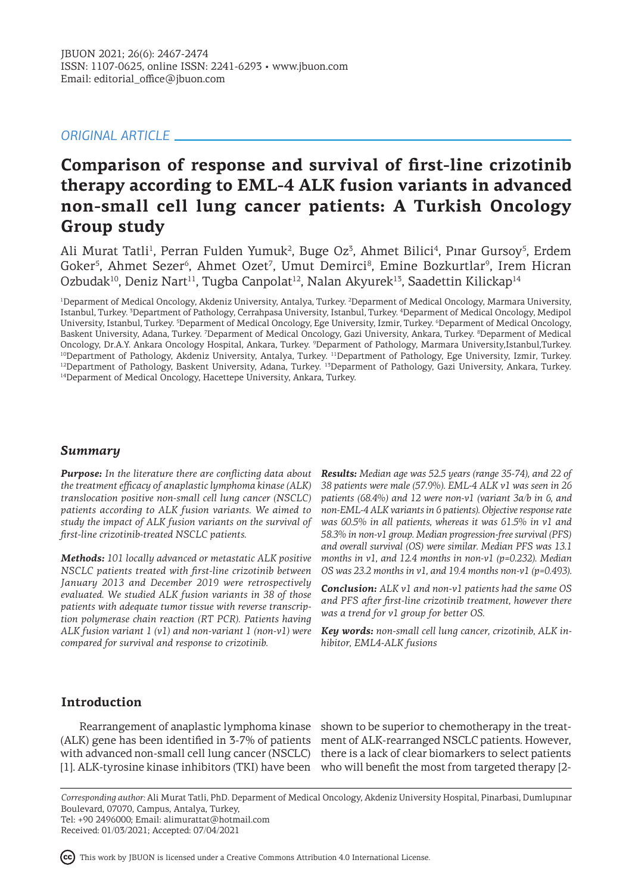# *ORIGINAL ARTICLE*

# **Comparison of response and survival of first-line crizotinib therapy according to EML-4 ALK fusion variants in advanced non-small cell lung cancer patients: A Turkish Oncology Group study**

Ali Murat Tatli<sup>1</sup>, Perran Fulden Yumuk<sup>2</sup>, Buge Oz<sup>3</sup>, Ahmet Bilici<sup>4</sup>, Pınar Gursoy<sup>5</sup>, Erdem Goker<sup>5</sup>, Ahmet Sezer<sup>6</sup>, Ahmet Ozet<sup>7</sup>, Umut Demirci<sup>8</sup>, Emine Bozkurtlar<sup>9</sup>, Irem Hicran Ozbudak<sup>10</sup>, Deniz Nart<sup>11</sup>, Tugba Canpolat<sup>12</sup>, Nalan Akyurek<sup>13</sup>, Saadettin Kilickap<sup>14</sup>

<sup>1</sup>Deparment of Medical Oncology, Akdeniz University, Antalya, Turkey. <sup>2</sup>Deparment of Medical Oncology, Marmara University, Istanbul, Turkey. <sup>3</sup> Department of Pathology, Cerrahpasa University, Istanbul, Turkey. <sup>4</sup> Deparment of Medical Oncology, Medipol University, Istanbul, Turkey. <sup>5</sup>Deparment of Medical Oncology, Ege University, Izmir, Turkey. <sup>6</sup>Deparment of Medical Oncology, Baskent University, Adana, Turkey. <sup>7</sup> Deparment of Medical Oncology, Gazi University, Ankara, Turkey. <sup>8</sup> Deparment of Medical Oncology, Dr.A.Y. Ankara Oncology Hospital, Ankara, Turkey. <sup>9</sup> Deparment of Pathology, Marmara University,Istanbul,Turkey. 10Department of Pathology, Akdeniz University, Antalya, Turkey. 11Department of Pathology, Ege University, Izmir, Turkey. 12Department of Pathology, Baskent University, Adana, Turkey. 13Deparment of Pathology, Gazi University, Ankara, Turkey. <sup>14</sup>Deparment of Medical Oncology, Hacettepe University, Ankara, Turkey.

## *Summary*

*Purpose: In the literature there are conflicting data about the treatment efficacy of anaplastic lymphoma kinase (ALK) translocation positive non-small cell lung cancer (NSCLC) patients according to ALK fusion variants. We aimed to study the impact of ALK fusion variants on the survival of first-line crizotinib-treated NSCLC patients.*

*Methods: 101 locally advanced or metastatic ALK positive NSCLC patients treated with first-line crizotinib between January 2013 and December 2019 were retrospectively evaluated. We studied ALK fusion variants in 38 of those patients with adequate tumor tissue with reverse transcription polymerase chain reaction (RT PCR). Patients having ALK fusion variant 1 (v1) and non-variant 1 (non-v1) were compared for survival and response to crizotinib.*

*Results: Median age was 52.5 years (range 35-74), and 22 of 38 patients were male (57.9%). EML-4 ALK v1 was seen in 26 patients (68.4%) and 12 were non-v1 (variant 3a/b in 6, and non-EML-4 ALK variants in 6 patients). Objective response rate was 60.5% in all patients, whereas it was 61.5% in v1 and 58.3% in non-v1 group. Median progression-free survival (PFS) and overall survival (OS) were similar. Median PFS was 13.1 months in v1, and 12.4 months in non-v1 (p=0.232). Median OS was 23.2 months in v1, and 19.4 months non-v1 (p=0.493).*

*Conclusion: ALK v1 and non-v1 patients had the same OS and PFS after first-line crizotinib treatment, however there was a trend for v1 group for better OS.*

*Key words: non-small cell lung cancer, crizotinib, ALK inhibitor, EML4-ALK fusions*

## **Introduction**

(ALK) gene has been identified in 3-7% of patients ment of ALK-rearranged NSCLC patients. However, with advanced non-small cell lung cancer (NSCLC) there is a lack of clear biomarkers to select patients

Rearrangement of anaplastic lymphoma kinase shown to be superior to chemotherapy in the treat-[1]. ALK-tyrosine kinase inhibitors (TKI) have been who will benefit the most from targeted therapy [2-

*Corresponding author:* Ali Murat Tatli, PhD. Deparment of Medical Oncology, Akdeniz University Hospital, Pinarbasi, Dumlupınar Boulevard, 07070, Campus, Antalya, Turkey, Tel: +90 2496000; Email: alimurattat@hotmail.com

Received: 01/03/2021; Accepted: 07/04/2021

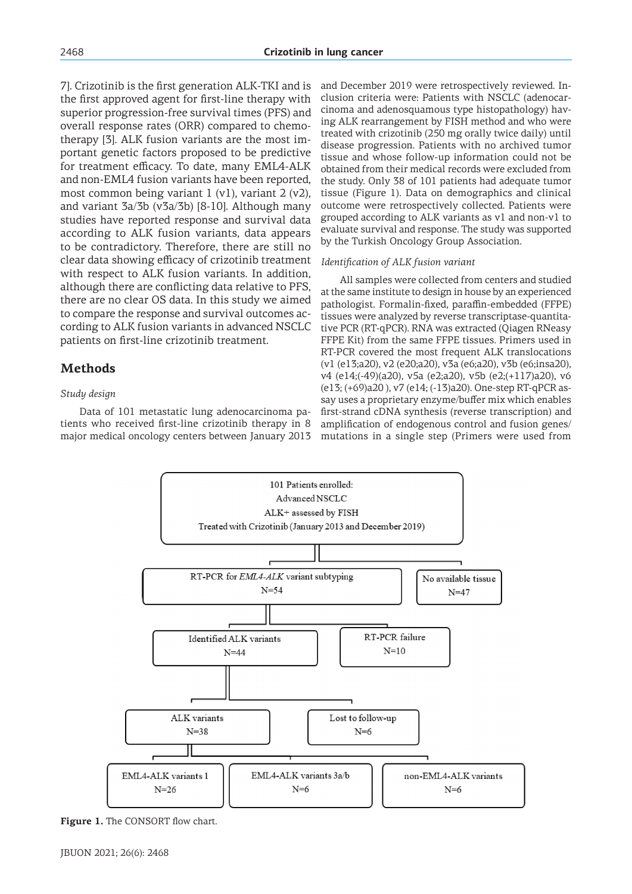7]. Crizotinib is the first generation ALK-TKI and is the first approved agent for first-line therapy with superior progression-free survival times (PFS) and overall response rates (ORR) compared to chemotherapy [3]. ALK fusion variants are the most important genetic factors proposed to be predictive for treatment efficacy. To date, many EML4-ALK and non-EML4 fusion variants have been reported, most common being variant 1 (v1), variant 2 (v2), and variant 3a/3b (v3a/3b) [8-10]. Although many studies have reported response and survival data according to ALK fusion variants, data appears to be contradictory. Therefore, there are still no clear data showing efficacy of crizotinib treatment with respect to ALK fusion variants. In addition, although there are conflicting data relative to PFS, there are no clear OS data. In this study we aimed to compare the response and survival outcomes according to ALK fusion variants in advanced NSCLC patients on first-line crizotinib treatment.

# **Methods**

### *Study design*

Data of 101 metastatic lung adenocarcinoma patients who received first-line crizotinib therapy in 8 major medical oncology centers between January 2013

and December 2019 were retrospectively reviewed. Inclusion criteria were: Patients with NSCLC (adenocarcinoma and adenosquamous type histopathology) having ALK rearrangement by FISH method and who were treated with crizotinib (250 mg orally twice daily) until disease progression. Patients with no archived tumor tissue and whose follow-up information could not be obtained from their medical records were excluded from the study. Only 38 of 101 patients had adequate tumor tissue (Figure 1). Data on demographics and clinical outcome were retrospectively collected. Patients were grouped according to ALK variants as v1 and non-v1 to evaluate survival and response. The study was supported by the Turkish Oncology Group Association.

#### *Identification of ALK fusion variant*

All samples were collected from centers and studied at the same institute to design in house by an experienced pathologist. Formalin-fixed, paraffin-embedded (FFPE) tissues were analyzed by reverse transcriptase-quantitative PCR (RT-qPCR). RNA was extracted (Qiagen RNeasy FFPE Kit) from the same FFPE tissues. Primers used in RT-PCR covered the most frequent ALK translocations (v1 (e13;a20), v2 (e20;a20), v3a (e6;a20), v3b (e6;insa20), v4 (e14;(-49)(a20), v5a (e2;a20), v5b (e2;(+117)a20), v6 (e13; (+69)a20 ), v7 (e14; (-13)a20). One-step RT-qPCR assay uses a proprietary enzyme/buffer mix which enables first-strand cDNA synthesis (reverse transcription) and amplification of endogenous control and fusion genes/ mutations in a single step (Primers were used from



Figure 1. The CONSORT flow chart.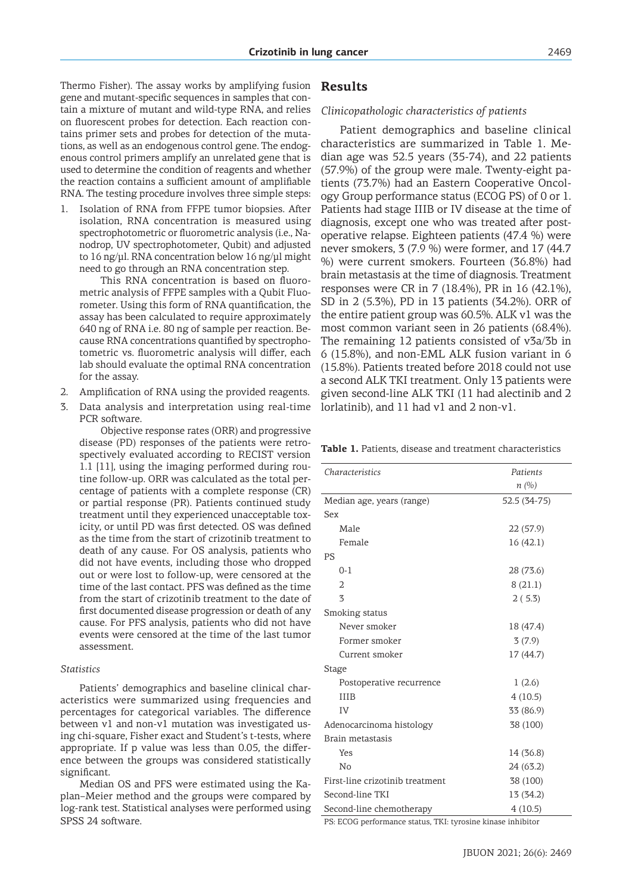Thermo Fisher). The assay works by amplifying fusion gene and mutant-specific sequences in samples that contain a mixture of mutant and wild-type RNA, and relies on fluorescent probes for detection. Each reaction contains primer sets and probes for detection of the mutations, as well as an endogenous control gene. The endogenous control primers amplify an unrelated gene that is used to determine the condition of reagents and whether the reaction contains a sufficient amount of amplifiable RNA. The testing procedure involves three simple steps:

1. Isolation of RNA from FFPE tumor biopsies. After isolation, RNA concentration is measured using spectrophotometric or fluorometric analysis (i.e., Nanodrop, UV spectrophotometer, Qubit) and adjusted to 16 ng/μl. RNA concentration below 16 ng/μl might need to go through an RNA concentration step.

This RNA concentration is based on fluorometric analysis of FFPE samples with a Qubit Fluorometer. Using this form of RNA quantification, the assay has been calculated to require approximately 640 ng of RNA i.e. 80 ng of sample per reaction. Because RNA concentrations quantified by spectrophotometric vs. fluorometric analysis will differ, each lab should evaluate the optimal RNA concentration for the assay.

- 2. Amplification of RNA using the provided reagents.
- 3. Data analysis and interpretation using real-time PCR software.

Objective response rates (ORR) and progressive disease (PD) responses of the patients were retrospectively evaluated according to RECIST version 1.1 [11], using the imaging performed during routine follow-up. ORR was calculated as the total percentage of patients with a complete response (CR) or partial response (PR). Patients continued study treatment until they experienced unacceptable toxicity, or until PD was first detected. OS was defined as the time from the start of crizotinib treatment to death of any cause. For OS analysis, patients who did not have events, including those who dropped out or were lost to follow-up, were censored at the time of the last contact. PFS was defined as the time from the start of crizotinib treatment to the date of first documented disease progression or death of any cause. For PFS analysis, patients who did not have events were censored at the time of the last tumor assessment.

#### *Statistics*

Patients' demographics and baseline clinical characteristics were summarized using frequencies and percentages for categorical variables. The difference between v1 and non-v1 mutation was investigated using chi-square, Fisher exact and Student's t-tests, where appropriate. If p value was less than 0.05, the difference between the groups was considered statistically significant.

Median OS and PFS were estimated using the Kaplan–Meier method and the groups were compared by log-rank test. Statistical analyses were performed using SPSS 24 software.

## **Results**

#### *Clinicopathologic characteristics of patients*

Patient demographics and baseline clinical characteristics are summarized in Table 1. Median age was 52.5 years (35-74), and 22 patients (57.9%) of the group were male. Twenty-eight patients (73.7%) had an Eastern Cooperative Oncology Group performance status (ECOG PS) of 0 or 1. Patients had stage IIIB or IV disease at the time of diagnosis, except one who was treated after postoperative relapse. Eighteen patients (47.4 %) were never smokers, 3 (7.9 %) were former, and 17 (44.7 %) were current smokers. Fourteen (36.8%) had brain metastasis at the time of diagnosis. Treatment responses were CR in 7 (18.4%), PR in 16 (42.1%), SD in 2 (5.3%), PD in 13 patients (34.2%). ORR of the entire patient group was 60.5%. ALK v1 was the most common variant seen in 26 patients (68.4%). The remaining 12 patients consisted of v3a/3b in 6 (15.8%), and non-EML ALK fusion variant in 6 (15.8%). Patients treated before 2018 could not use a second ALK TKI treatment. Only 13 patients were given second-line ALK TKI (11 had alectinib and 2 lorlatinib), and 11 had v1 and 2 non-v1.

**Table 1.** Patients, disease and treatment characteristics

| Characteristics                                             | Patients     |
|-------------------------------------------------------------|--------------|
|                                                             | n(%)         |
| Median age, years (range)                                   | 52.5 (34-75) |
| Sex                                                         |              |
| Male                                                        | 22 (57.9)    |
| Female                                                      | 16(42.1)     |
| <b>PS</b>                                                   |              |
| $0 - 1$                                                     | 28 (73.6)    |
| $\overline{2}$                                              | 8(21.1)      |
| 3                                                           | 2(5.3)       |
| Smoking status                                              |              |
| Never smoker                                                | 18 (47.4)    |
| Former smoker                                               | 3(7.9)       |
| Current smoker                                              | 17 (44.7)    |
| Stage                                                       |              |
| Postoperative recurrence                                    | 1(2.6)       |
| <b>IIIB</b>                                                 | 4(10.5)      |
| IV                                                          | 33 (86.9)    |
| Adenocarcinoma histology                                    | 38 (100)     |
| Brain metastasis                                            |              |
| Yes                                                         | 14 (36.8)    |
| No                                                          | 24 (63.2)    |
| First-line crizotinib treatment                             | 38 (100)     |
| Second-line TKI                                             | 13 (34.2)    |
| Second-line chemotherapy                                    | 4(10.5)      |
| DC, PCOC parformango status, TVI, turqqina kinogo inbibitar |              |

PS: ECOG performance status, TKI: tyrosine kinase inhibitor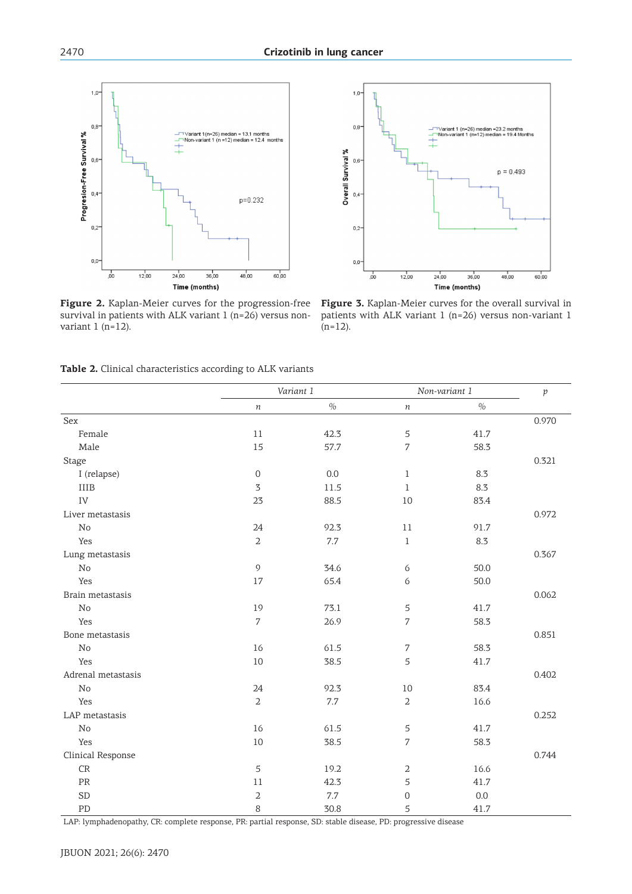

**Figure 2.** Kaplan-Meier curves for the progression-free survival in patients with ALK variant 1 (n=26) versus nonvariant  $1$  (n=12).



**Figure 3.** Kaplan-Meier curves for the overall survival in patients with ALK variant 1 (n=26) versus non-variant 1  $(n=12)$ .

|  |  |  |  |  |  | <b>Table 2.</b> Clinical characteristics according to ALK variants |  |  |  |
|--|--|--|--|--|--|--------------------------------------------------------------------|--|--|--|
|--|--|--|--|--|--|--------------------------------------------------------------------|--|--|--|

|                    |                  | Variant 1 |                | Non-variant 1 | $\mathcal{V}$ |
|--------------------|------------------|-----------|----------------|---------------|---------------|
|                    | $\boldsymbol{n}$ | $\%$      | $\,n$          | $\%$          |               |
| Sex                |                  |           |                |               | 0.970         |
| Female             | 11               | 42.3      | 5              | 41.7          |               |
| Male               | 15               | 57.7      | 7              | 58.3          |               |
| <b>Stage</b>       |                  |           |                |               | 0.321         |
| I (relapse)        | $\boldsymbol{0}$ | 0.0       | $\mathbf 1$    | 8.3           |               |
| <b>IIIB</b>        | $\mathfrak{Z}$   | 11.5      | $\mathbf{1}$   | 8.3           |               |
| ${\rm IV}$         | 23               | 88.5      | $10\,$         | 83.4          |               |
| Liver metastasis   |                  |           |                |               | 0.972         |
| $\rm No$           | 24               | 92.3      | 11             | 91.7          |               |
| Yes                | $\overline{2}$   | $7.7\,$   | $\,1$          | 8.3           |               |
| Lung metastasis    |                  |           |                |               | 0.367         |
| $\rm No$           | $\mathfrak{g}$   | 34.6      | 6              | 50.0          |               |
| Yes                | 17               | 65.4      | 6              | 50.0          |               |
| Brain metastasis   |                  |           |                |               | 0.062         |
| $\rm No$           | 19               | 73.1      | 5              | 41.7          |               |
| Yes                | $\overline{7}$   | 26.9      | $\sqrt{2}$     | 58.3          |               |
| Bone metastasis    |                  |           |                |               | 0.851         |
| $\rm No$           | 16               | 61.5      | 7              | 58.3          |               |
| Yes                | $10\,$           | 38.5      | 5              | 41.7          |               |
| Adrenal metastasis |                  |           |                |               | 0.402         |
| $\rm No$           | 24               | 92.3      | 10             | 83.4          |               |
| Yes                | $\overline{2}$   | $7.7\,$   | $\overline{2}$ | 16.6          |               |
| LAP metastasis     |                  |           |                |               | 0.252         |
| $\rm No$           | 16               | 61.5      | 5              | 41.7          |               |
| Yes                | $10\,$           | 38.5      | $\overline{7}$ | 58.3          |               |
| Clinical Response  |                  |           |                |               | 0.744         |
| CR                 | 5                | 19.2      | 2              | 16.6          |               |
| $\mbox{\sf PR}$    | 11               | 42.3      | 5              | 41.7          |               |
| <b>SD</b>          | $\overline{2}$   | 7.7       | 0              | 0.0           |               |
| ${\rm PD}$         | 8                | 30.8      | 5              | 41.7          |               |

LAP: lymphadenopathy, CR: complete response, PR: partial response, SD: stable disease, PD: progressive disease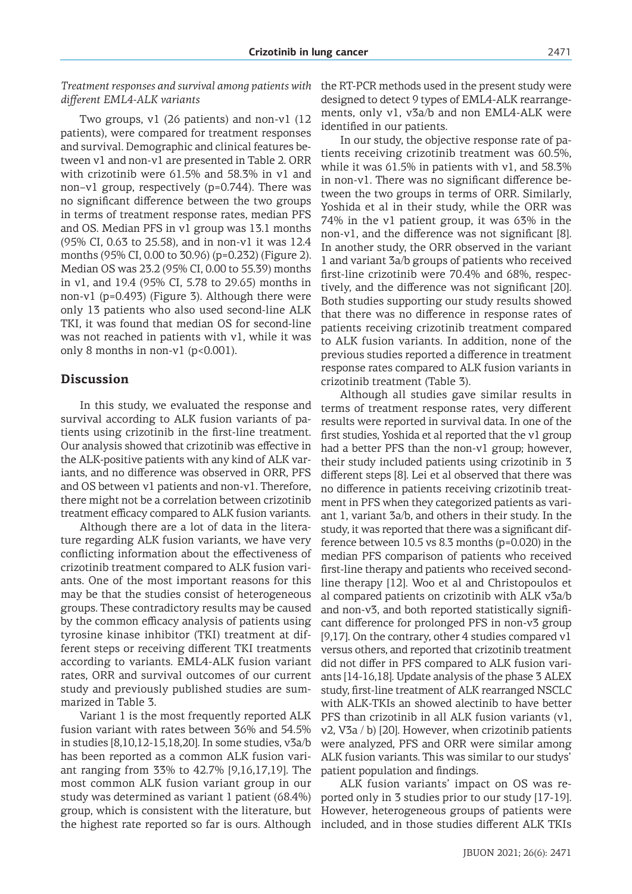*Treatment responses and survival among patients with different EML4-ALK variants* 

Two groups, v1 (26 patients) and non-v1 (12 patients), were compared for treatment responses and survival. Demographic and clinical features between v1 and non-v1 are presented in Table 2. ORR with crizotinib were 61.5% and 58.3% in v1 and non–v1 group, respectively (p=0.744). There was no significant difference between the two groups in terms of treatment response rates, median PFS and OS. Median PFS in v1 group was 13.1 months (95% CI, 0.63 to 25.58), and in non-v1 it was 12.4 months (95% CI, 0.00 to 30.96) (p=0.232) (Figure 2). Median OS was 23.2 (95% CI, 0.00 to 55.39) months in v1, and 19.4 (95% CI, 5.78 to 29.65) months in non-v1 (p=0.493) (Figure 3). Although there were only 13 patients who also used second-line ALK TKI, it was found that median OS for second-line was not reached in patients with v1, while it was only 8 months in non-v1 ( $p$ <0.001).

## **Discussion**

In this study, we evaluated the response and survival according to ALK fusion variants of patients using crizotinib in the first-line treatment. Our analysis showed that crizotinib was effective in the ALK-positive patients with any kind of ALK variants, and no difference was observed in ORR, PFS and OS between v1 patients and non-v1. Therefore, there might not be a correlation between crizotinib treatment efficacy compared to ALK fusion variants.

Although there are a lot of data in the literature regarding ALK fusion variants, we have very conflicting information about the effectiveness of crizotinib treatment compared to ALK fusion variants. One of the most important reasons for this may be that the studies consist of heterogeneous groups. These contradictory results may be caused by the common efficacy analysis of patients using tyrosine kinase inhibitor (TKI) treatment at different steps or receiving different TKI treatments according to variants. EML4-ALK fusion variant rates, ORR and survival outcomes of our current study and previously published studies are summarized in Table 3.

Variant 1 is the most frequently reported ALK fusion variant with rates between 36% and 54.5% in studies [8,10,12-15,18,20]. In some studies, v3a/b has been reported as a common ALK fusion variant ranging from 33% to 42.7% [9,16,17,19]. The most common ALK fusion variant group in our study was determined as variant 1 patient (68.4%) group, which is consistent with the literature, but the highest rate reported so far is ours. Although

the RT-PCR methods used in the present study were designed to detect 9 types of EML4-ALK rearrangements, only v1, v3a/b and non EML4-ALK were identified in our patients.

In our study, the objective response rate of patients receiving crizotinib treatment was 60.5%, while it was 61.5% in patients with v1, and 58.3% in non-v1. There was no significant difference between the two groups in terms of ORR. Similarly, Yoshida et al in their study, while the ORR was 74% in the v1 patient group, it was 63% in the non-v1, and the difference was not significant [8]. In another study, the ORR observed in the variant 1 and variant 3a/b groups of patients who received first-line crizotinib were 70.4% and 68%, respectively, and the difference was not significant [20]. Both studies supporting our study results showed that there was no difference in response rates of patients receiving crizotinib treatment compared to ALK fusion variants. In addition, none of the previous studies reported a difference in treatment response rates compared to ALK fusion variants in crizotinib treatment (Table 3).

Although all studies gave similar results in terms of treatment response rates, very different results were reported in survival data. In one of the first studies, Yoshida et al reported that the v1 group had a better PFS than the non-v1 group; however, their study included patients using crizotinib in 3 different steps [8]. Lei et al observed that there was no difference in patients receiving crizotinib treatment in PFS when they categorized patients as variant 1, variant 3a/b, and others in their study. In the study, it was reported that there was a significant difference between 10.5 vs 8.3 months (p=0.020) in the median PFS comparison of patients who received first-line therapy and patients who received secondline therapy [12]. Woo et al and Christopoulos et al compared patients on crizotinib with ALK v3a/b and non-v3, and both reported statistically significant difference for prolonged PFS in non-v3 group  $[9,17]$ . On the contrary, other 4 studies compared v1 versus others, and reported that crizotinib treatment did not differ in PFS compared to ALK fusion variants [14-16,18]. Update analysis of the phase 3 ALEX study, first-line treatment of ALK rearranged NSCLC with ALK-TKIs an showed alectinib to have better PFS than crizotinib in all ALK fusion variants (v1, v2, V3a / b) [20]. However, when crizotinib patients were analyzed, PFS and ORR were similar among ALK fusion variants. This was similar to our studys' patient population and findings.

ALK fusion variants' impact on OS was reported only in 3 studies prior to our study [17-19]. However, heterogeneous groups of patients were included, and in those studies different ALK TKIs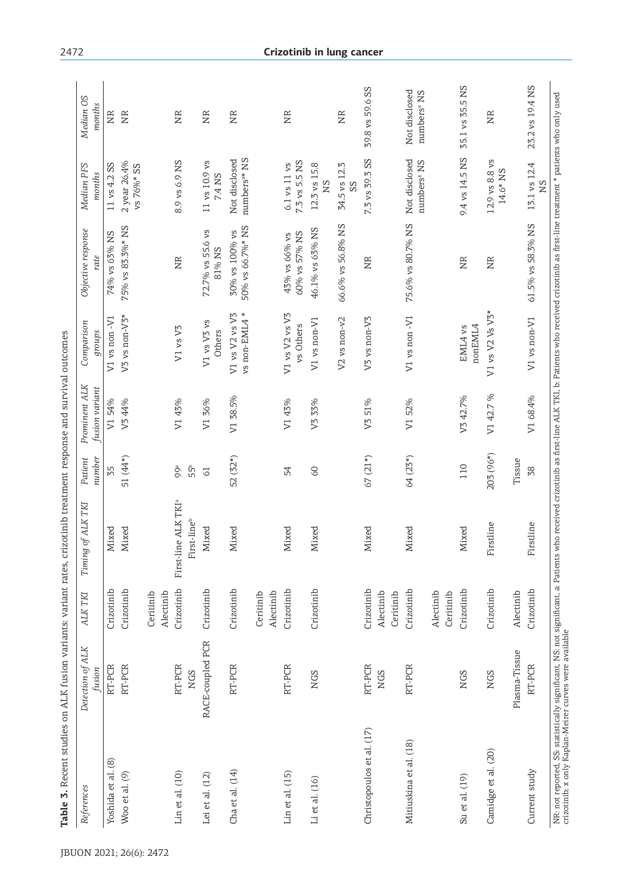| References                | Detection of ALK<br>fusion     | ALK TKI                              | of ALK TKI<br>Timing             | Patient<br>number      | Prominent ALK<br>fusion variant | Comparison<br>groups        | Objective response<br>rate     | Median PFS<br>months                     | Median OS<br>months                      |
|---------------------------|--------------------------------|--------------------------------------|----------------------------------|------------------------|---------------------------------|-----------------------------|--------------------------------|------------------------------------------|------------------------------------------|
| Yoshida et al. (8)        | RT-PCR                         | Crizotinib                           | Mixed                            | 35                     | V154%                           | V1 vs non-V1                | 74% vs 63% NS                  | 11 vs 4.2 SS                             | NR                                       |
| Woo et al. (9)            | RT-PCR                         | Crizotinib                           | Mixed                            | 51 (44*)               | V <sub>3</sub> 44%              | V3 vs non-V3*               | 75% vs 83.3%* NS               | 2 year 26.4%<br>vs 76%* SS               | NR                                       |
|                           |                                | Ceritinib<br>Alectinib               |                                  |                        |                                 |                             |                                |                                          |                                          |
| Lin et al. (10)           | RT-PCR                         | Crizotinib                           | First-line ALK TKI <sup>a</sup>  | 99 <sup>a</sup>        | V1 43%                          | V1 vs V3                    | NR                             | 8.9 vs 6.9 NS                            | XR                                       |
| Lei et al. (12)           | RACE-coupled PCR<br><b>NGS</b> | Crizotinib                           | First-line <sup>b</sup><br>Mixed | 55°<br>$\overline{61}$ | V1 36%                          | $V1$ vs $V3$ vs             | 72.7% vs 55.6 vs               | 11 vs 10.9 vs                            | NR                                       |
| Cha et al. (14)           | RT-PCR                         | Crizotinib                           | Mixed                            | 52 (32*)               | V1 38.5%                        | V1 vs V2 vs V3<br>Others    | 30% vs 100% vs<br>81% NS       | Not disclosed<br>7.4 NS                  | NR                                       |
|                           |                                |                                      |                                  |                        |                                 | vs non-EML4 *               | 50% vs 66.7%* NS               | numbers <sup>x*</sup> NS                 |                                          |
|                           |                                | Alectinib<br>Ceritinib               |                                  |                        |                                 |                             |                                |                                          |                                          |
| $Lin$ et al. $(15)$       | RT-PCR                         | Crizotinib                           | Mixed                            | 54                     | V1 43%                          | V1 vs V2 vs V3<br>vs Others | 60% vs 57% NS<br>43% vs 66% vs | 7.3 vs 5.5 NS<br>6.1 vs 11 vs            | NR                                       |
| Li et al. (16)            | <b>NGS</b>                     | Crizotinib                           | Mixed                            | SO                     | V3 33%                          | V1 vs non-V1                | 46.1% vs 63% NS                | 12.3 vs 15.8<br>SN                       |                                          |
|                           |                                |                                      |                                  |                        |                                 | $V2$ vs non- $v2$           | 66.6% vs 56.8% NS              | 34.5 vs 12.3<br>SS                       | NR                                       |
| Christopoulos et al. (17) | RT-PCR<br><b>NGS</b>           | Crizotinib<br>Alectinib<br>Ceritinib | Mixed                            | $67(21*)$              | V351%                           | V3 vs non-V3                | NR                             | 7.3 vs 39.3 SS                           | 39.8 vs 59.6 SS                          |
| Mitiuskina et al. (18)    | RT-PCR                         | Crizotinib<br>Alectinib              | Mixed                            | 64 (23*)               | V1 52%                          | V1 vs non-V1                | 75.6% vs 80.7% NS              | Not disclosed<br>numbers <sup>x</sup> NS | Not disclosed<br>numbers <sup>x</sup> NS |
| Su et al. (19)            | <b>NGS</b>                     | Crizotinib<br>Ceritinib              | Mixed                            | 110                    | V342.7%                         | nonEML4<br>EML4 vs          | XR                             | 9.4 vs 14.5 NS                           | 35.1 vs 35.5 NS                          |
| Camidge et al. (20)       | <b>NGS</b>                     | Crizotinib                           | Firstline                        | 203 (96*)              | V1 42.7 %                       | V1 vs V2 Vs V3*             | NR                             | 12.9 vs 8.8 vs<br>14.6* NS               | XR                                       |
|                           | Plasma-Tissue                  | Alectinib                            |                                  | Tissue                 |                                 |                             |                                |                                          |                                          |
| Current study             | RT-PCR                         | Crizotinib                           | rstline<br>Ë                     | 38                     | V1 68.4%                        | V1 vs non-V1                | 61.5% vs 58.3% NS              | 13.1 vs 12.4<br><b>NS</b>                | 23.2 vs 19.4 NS                          |

## 2472 **Crizotinib in lung cancer**

NR: not reported, SS: statistically significant, NS: not significant, a: Patients who received crizori.line received crizorinib as first-line treatment \* patients who only used<br>crizotinib; x only Kaplan-Meirer curves were NR: not reported, SS: statistically significant, NS: not significant, a: Patients who received crizotinib as first-line ALK TKI, b: Patients who received crizotinib as first-line treatment \* patients who only used crizotinib; x only Kaplan-Meirer curves were available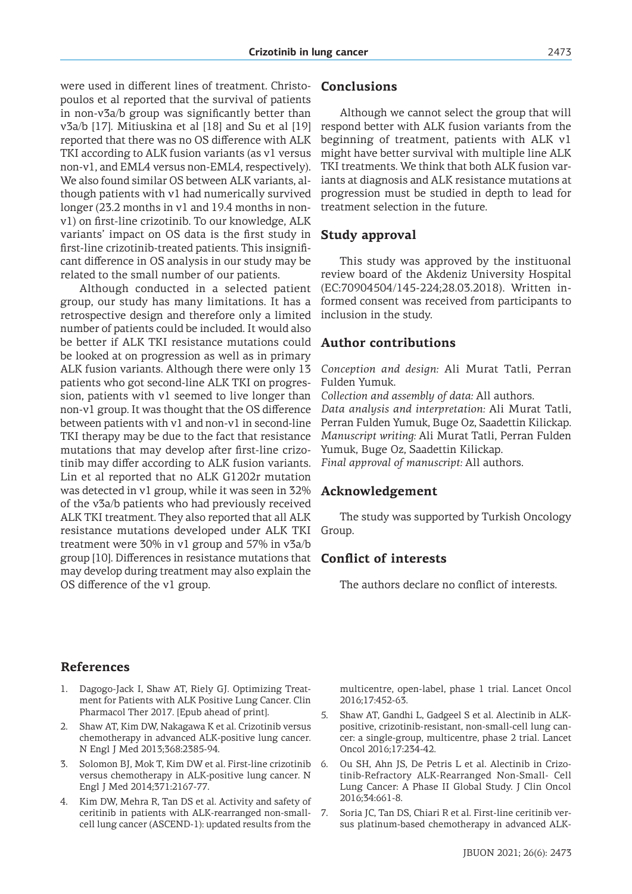were used in different lines of treatment. Christopoulos et al reported that the survival of patients in non-v3a/b group was significantly better than v3a/b [17]. Mitiuskina et al [18] and Su et al [19] reported that there was no OS difference with ALK TKI according to ALK fusion variants (as v1 versus non-v1, and EML4 versus non-EML4, respectively). We also found similar OS between ALK variants, although patients with v1 had numerically survived longer (23.2 months in v1 and 19.4 months in nonv1) on first-line crizotinib. To our knowledge, ALK variants' impact on OS data is the first study in first-line crizotinib-treated patients. This insignificant difference in OS analysis in our study may be related to the small number of our patients.

Although conducted in a selected patient group, our study has many limitations. It has a retrospective design and therefore only a limited number of patients could be included. It would also be better if ALK TKI resistance mutations could be looked at on progression as well as in primary ALK fusion variants. Although there were only 13 patients who got second-line ALK TKI on progression, patients with v1 seemed to live longer than non-v1 group. It was thought that the OS difference between patients with v1 and non-v1 in second-line TKI therapy may be due to the fact that resistance mutations that may develop after first-line crizotinib may differ according to ALK fusion variants. Lin et al reported that no ALK G1202r mutation was detected in v1 group, while it was seen in 32% of the v3a/b patients who had previously received ALK TKI treatment. They also reported that all ALK resistance mutations developed under ALK TKI treatment were 30% in v1 group and 57% in v3a/b group [10]. Differences in resistance mutations that may develop during treatment may also explain the OS difference of the v1 group.

# **Conclusions**

Although we cannot select the group that will respond better with ALK fusion variants from the beginning of treatment, patients with ALK v1 might have better survival with multiple line ALK TKI treatments. We think that both ALK fusion variants at diagnosis and ALK resistance mutations at progression must be studied in depth to lead for treatment selection in the future.

# **Study approval**

This study was approved by the instituonal review board of the Akdeniz University Hospital (EC:70904504/145-224;28.03.2018). Written informed consent was received from participants to inclusion in the study.

# **Author contributions**

*Conception and design:* Ali Murat Tatli, Perran Fulden Yumuk.

*Collection and assembly of data:* All authors. *Data analysis and interpretation:* Ali Murat Tatli, Perran Fulden Yumuk, Buge Oz, Saadettin Kilickap. *Manuscript writing:* Ali Murat Tatli, Perran Fulden Yumuk, Buge Oz, Saadettin Kilickap. *Final approval of manuscript:* All authors.

## **Acknowledgement**

The study was supported by Turkish Oncology Group.

## **Conflict of interests**

The authors declare no conflict of interests.

# **References**

- 1. Dagogo-Jack I, Shaw AT, Riely GJ. Optimizing Treatment for Patients with ALK Positive Lung Cancer. Clin Pharmacol Ther 2017. [Epub ahead of print].
- 2. Shaw AT, Kim DW, Nakagawa K et al. Crizotinib versus chemotherapy in advanced ALK-positive lung cancer. N Engl J Med 2013;368:2385-94.
- 3. Solomon BJ, Mok T, Kim DW et al. First-line crizotinib versus chemotherapy in ALK-positive lung cancer. N Engl J Med 2014;371:2167-77.
- 4. Kim DW, Mehra R, Tan DS et al. Activity and safety of ceritinib in patients with ALK-rearranged non-smallcell lung cancer (ASCEND-1): updated results from the

multicentre, open-label, phase 1 trial. Lancet Oncol 2016;17:452-63.

- 5. Shaw AT, Gandhi L, Gadgeel S et al. Alectinib in ALKpositive, crizotinib-resistant, non-small-cell lung cancer: a single-group, multicentre, phase 2 trial. Lancet Oncol 2016;17:234-42.
- 6. Ou SH, Ahn JS, De Petris L et al. Alectinib in Crizotinib-Refractory ALK-Rearranged Non-Small- Cell Lung Cancer: A Phase II Global Study. J Clin Oncol 2016;34:661-8.
- 7. Soria JC, Tan DS, Chiari R et al. First-line ceritinib versus platinum-based chemotherapy in advanced ALK-